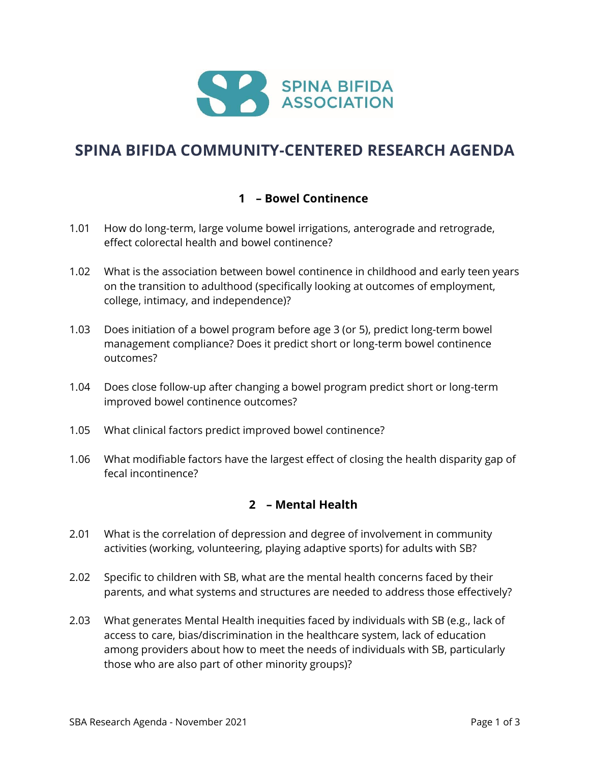

# **SPINA BIFIDA COMMUNITY-CENTERED RESEARCH AGENDA**

## **1 – Bowel Continence**

- 1.01 How do long-term, large volume bowel irrigations, anterograde and retrograde, effect colorectal health and bowel continence?
- 1.02 What is the association between bowel continence in childhood and early teen years on the transition to adulthood (specifically looking at outcomes of employment, college, intimacy, and independence)?
- 1.03 Does initiation of a bowel program before age 3 (or 5), predict long-term bowel management compliance? Does it predict short or long-term bowel continence outcomes?
- 1.04 Does close follow-up after changing a bowel program predict short or long-term improved bowel continence outcomes?
- 1.05 What clinical factors predict improved bowel continence?
- 1.06 What modifiable factors have the largest effect of closing the health disparity gap of fecal incontinence?

## **2 – Mental Health**

- 2.01 What is the correlation of depression and degree of involvement in community activities (working, volunteering, playing adaptive sports) for adults with SB?
- 2.02 Specific to children with SB, what are the mental health concerns faced by their parents, and what systems and structures are needed to address those effectively?
- 2.03 What generates Mental Health inequities faced by individuals with SB (e.g., lack of access to care, bias/discrimination in the healthcare system, lack of education among providers about how to meet the needs of individuals with SB, particularly those who are also part of other minority groups)?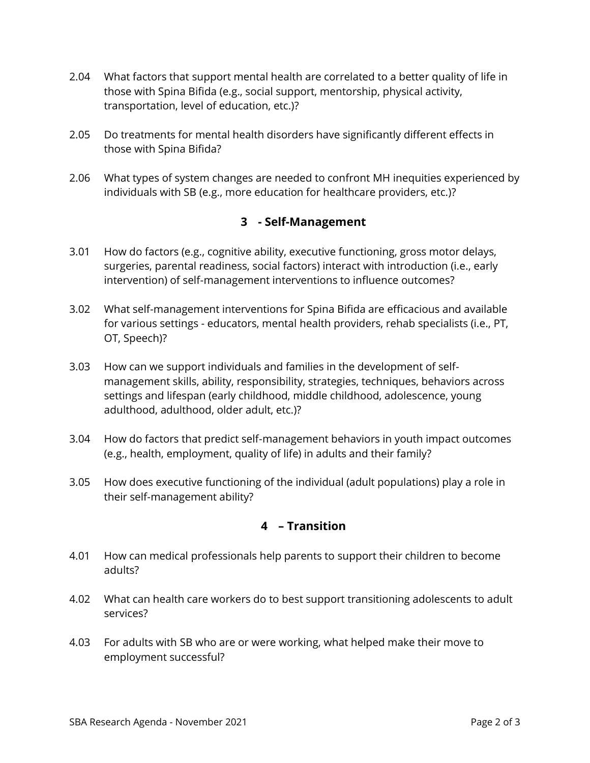- 2.04 What factors that support mental health are correlated to a better quality of life in those with Spina Bifida (e.g., social support, mentorship, physical activity, transportation, level of education, etc.)?
- 2.05 Do treatments for mental health disorders have significantly different effects in those with Spina Bifida?
- 2.06 What types of system changes are needed to confront MH inequities experienced by individuals with SB (e.g., more education for healthcare providers, etc.)?

## **3 - Self-Management**

- 3.01 How do factors (e.g., cognitive ability, executive functioning, gross motor delays, surgeries, parental readiness, social factors) interact with introduction (i.e., early intervention) of self-management interventions to influence outcomes?
- 3.02 What self-management interventions for Spina Bifida are efficacious and available for various settings - educators, mental health providers, rehab specialists (i.e., PT, OT, Speech)?
- 3.03 How can we support individuals and families in the development of selfmanagement skills, ability, responsibility, strategies, techniques, behaviors across settings and lifespan (early childhood, middle childhood, adolescence, young adulthood, adulthood, older adult, etc.)?
- 3.04 How do factors that predict self-management behaviors in youth impact outcomes (e.g., health, employment, quality of life) in adults and their family?
- 3.05 How does executive functioning of the individual (adult populations) play a role in their self-management ability?

## **4 – Transition**

- 4.01 How can medical professionals help parents to support their children to become adults?
- 4.02 What can health care workers do to best support transitioning adolescents to adult services?
- 4.03 For adults with SB who are or were working, what helped make their move to employment successful?